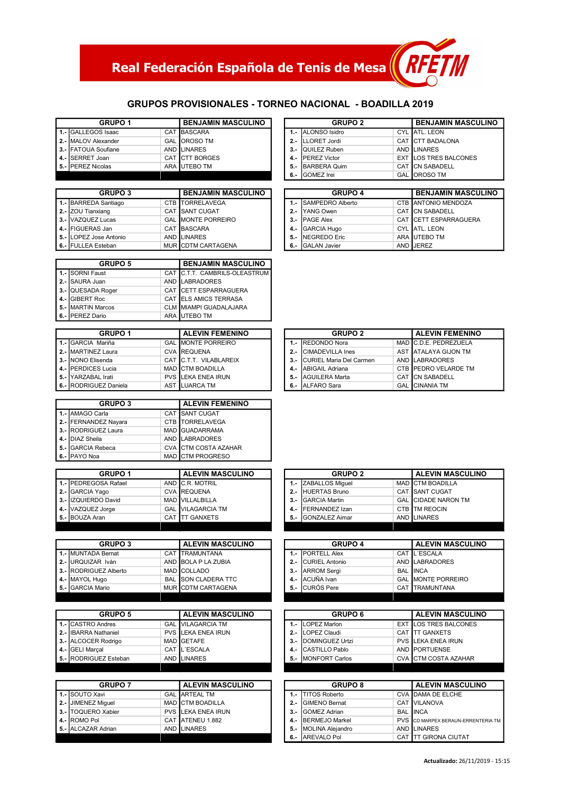# Real Federación Española de Tenis de Mesa $\left(\frac{RFT}{H}\right)$

#### GRUPOS PROVISIONALES - TORNEO NACIONAL - BOADILLA 2019

| <b>GRUPO 1</b>      | <b>BENJAMIN MASCULINO</b> |  | <b>GRUPO 2</b>           | <b>BENJAMIN MASCI</b>         |
|---------------------|---------------------------|--|--------------------------|-------------------------------|
| 1.- GALLEGOS Isaac  | <b>CAT IBASCARA</b>       |  | 1.- ALONSO Isidro        | CYL ATL. LEON                 |
| 2.- MALOV Alexander | <b>GAL OROSO TM</b>       |  | 2.- ILLORET Jordi        | CAT ICTT BADALONA             |
| 3.- FATOUA Soufiane | AND LINARES               |  | 3.- IQUILEZ Ruben        | AND LINARES                   |
| 4.- ISERRET Joan    | CAT ICTT BORGES           |  | 4.- <b>IPEREZ</b> Victor | <b>EXT ILOS TRES BALCONES</b> |
| 5.- IPEREZ Nicolas  | ARA <b>I</b> UTEBO TM     |  | 5.- BARBERA Quim         | CAT ICN SABADELL              |
|                     |                           |  | 6 - IGOMEZ Irei          | GAL LOROSO TM                 |

| <b>GRUPO 3</b>         | <b>BENJAMIN MASCULINO</b> |  |  | <b>GRUPO 4</b>        | <b>BENJAMIN MASCU</b> |                        |
|------------------------|---------------------------|--|--|-----------------------|-----------------------|------------------------|
| 1.- BARREDA Santiago   | CTB ITORRELAVEGA          |  |  | 1.- ISAMPEDRO Alberto |                       | CTB ANTONIO MENDOZA    |
| 2.- ZOU Tianxiang      | CAT ISANT CUGAT           |  |  | 2.- IYANG Owen        |                       | CAT ICN SABADELL       |
| 3.- VAZQUEZ Lucas      | <b>GAL MONTE PORREIRO</b> |  |  | 3.- PAGE Alex         |                       | CAT ICETT ESPARRAGUERA |
| 4.- FIGUERAS Jan       | CAT BASCARA               |  |  | 4.- GARCIA Hugo       |                       | CYL ATL. LEON          |
| 5.- LOPEZ Jose Antonio | AND LINARES               |  |  | 5.- INEGREDO Eric     |                       | ARA <b>I</b> UTEBO TM  |
| 6.- FULLEA Esteban     | MUR CDTM CARTAGENA        |  |  | 6.- IGALAN Javier     |                       | AND <b>JEREZ</b>       |

| <b>GRUPO 5</b>    | <b>BENJAMIN MASCULINO</b> |                               |
|-------------------|---------------------------|-------------------------------|
| 1.- SORNI Faust   |                           | CAT C.T.T. CAMBRILS-OLEASTRUM |
| 2.- SAURA Juan    |                           | AND LABRADORES                |
| 3.- QUESADA Roger |                           | CAT CETT ESPARRAGUERA         |
| 4.- GIBERT Roc    |                           | CAT ELS AMICS TERRASA         |
| 5.- MARTIN Marcos |                           | <b>CLM MIAMPI GUADALAJARA</b> |
| 6.- IPEREZ Dario  |                           | ARA UTEBO TM                  |

| <b>GRUPO 1</b>        | <b>ALEVIN FEMENINO</b>    |       | <b>GRUPO 2</b>               | <b>ALEVIN FEMENIN</b>        |
|-----------------------|---------------------------|-------|------------------------------|------------------------------|
| 1.- GARCIA Mariña     | <b>GAL MONTE PORREIRO</b> |       | 1.- IREDONDO Nora            | MAD IC.D.E. PEDREZUELA       |
| 2.- IMARTINEZ Laura   | <b>CVA REQUENA</b>        | $2 -$ | <b>CIMADEVILLA Ines</b>      | AST ATALAYA GIJON TM         |
| 3.- INONO Elisenda    | CAT C.T.T. VILABLAREIX    |       | 3.- ICURIEL Maria Del Carmen | AND LABRADORES               |
| 4.- IPERDICES Lucia   | <b>MAD CTM BOADILLA</b>   |       | 4.- ABIGAIL Adriana          | CTB <b>IPEDRO VELARDE TM</b> |
| 5.- IYARZABAL Irati   | PVS ILEKA ENEA IRUN       | 5.-   | AGUILERA Marta               | CAT ICN SABADELL             |
| 6.- RODRIGUEZ Daniela | AST ILUARCA TM            | 6.-   | <b>IALFARO Sara</b>          | <b>GAL CINANIA TM</b>        |

| <b>GRUPO 3</b>       | <b>ALEVIN FEMENINO</b> |                      |
|----------------------|------------------------|----------------------|
| 1.- AMAGO Carla      |                        | CAT SANT CUGAT       |
| 2.- FERNANDEZ Nayara |                        | CTB TORRELAVEGA      |
| 3.- RODRIGUEZ Laura  |                        | MAD GUADARRAMA       |
| 4.- DIAZ Sheila      |                        | AND LABRADORES       |
| 5.- GARCIA Rebeca    |                        | CVA CTM COSTA AZAHAR |
| 6.- PAYO Noa         |                        | MAD CTM PROGRESO     |

| <b>GRUPO 1</b>       | <b>ALEVIN MASCULINO</b>  |        | <b>GRUPO 2</b>         | <b>ALEVIN MASCU</b>         |
|----------------------|--------------------------|--------|------------------------|-----------------------------|
| 1.- PEDREGOSA Rafael | AND C.R. MOTRIL          |        | 1.- ZABALLOS Miquel    | MAD CTM BOADILLA            |
| 2.- GARCIA Yago      | <b>CVA REQUENA</b>       |        | 2.- HUERTAS Bruno      | CAT ISANT CUGAT             |
| 3.- IZQUIERDO David  | <b>MAD VILLALBILLA</b>   | $3 -$  | <b>IGARCIA Martin</b>  | <b>GAL ICIDADE NARON TM</b> |
| 4.- VAZQUEZ Jorge    | <b>GAL VILAGARCIA TM</b> | $4. -$ | <b>IFERNANDEZ Izan</b> | <b>CTB ITM REOCIN</b>       |
| 5.- BOUZA Aran       | CAT ITT GANXETS          | $5. -$ | <b>IGONZALEZ Aimar</b> | AND LINARES                 |
|                      |                          |        |                        |                             |

| <b>GRUPO 3</b>        | <b>ALEVIN MASCULINO</b>     |        | <b>GRUPO 4</b>           | <b>ALEVIN MASCU</b>        |
|-----------------------|-----------------------------|--------|--------------------------|----------------------------|
| 1.- MUNTADA Bernat    | CAT ITRAMUNTANA             |        | 1.- <b>IPORTELL Alex</b> | CAT IL'ESCALA              |
| 2.- URQUIZAR Iván     | AND BOLA P LA ZUBIA         | $2. -$ | CURIEL Antonio           | AND ILABRADORES            |
| 3.- RODRIGUEZ Alberto | MAD COLLADO                 | $3 -$  | <b>ARROM Sergi</b>       | <b>BAL IINCA</b>           |
| 4.- MAYOL Hugo        | <b>BAL ISON CLADERA TTC</b> |        | 4.- ACUÑA Ivan           | <b>GAL IMONTE PORREIRO</b> |
| 5.- IGARCIA Mario     | MUR CDTM CARTAGENA          |        | 5.- ICURÓS Pere          | CAT <b>I</b> TRAMUNTANA    |

| <b>GRUPO 5</b>        | <b>ALEVIN MASCULINO</b>    |       | <b>GRUPO 6</b>       | <b>ALEVIN MASCULII</b>        |
|-----------------------|----------------------------|-------|----------------------|-------------------------------|
| 1.- CASTRO Andres     | <b>GAL VILAGARCIA TM</b>   |       | 1.- ILOPEZ Marlon    | <b>EXT ILOS TRES BALCONES</b> |
| 2.- IIBARRA Nathaniel | <b>PVS ILEKA ENEA IRUN</b> | $2 -$ | LOPEZ Claudi         | CAT ITT GANXETS               |
| 3.- ALCOCER Rodrigo   | MAD GETAFE                 |       | 3.- IDOMINGUEZ Urtzi | <b>PVS LEKA ENEA IRUN</b>     |
| 4.- GELI Marcal       | CAT IL'ESCALA              |       | 4.- CASTILLO Pablo   | AND <b>IPORTUENSE</b>         |
| 5.- RODRIGUEZ Esteban | AND LINARES                |       | 5.- IMONFORT Carlos  | <b>CVA CTM COSTA AZAHAR</b>   |
|                       |                            |       |                      |                               |

| <b>GRUPO 7</b>           | <b>ALEVIN MASCULINO</b>   |       | <b>GRUPO 8</b>       | <b>ALEVIN MASCU</b>            |
|--------------------------|---------------------------|-------|----------------------|--------------------------------|
| <b>I 1.- ISOUTO Xavi</b> | <b>GAL ARTEAL TM</b>      |       | 1.- ITITOS Roberto   | CVA DAMA DE ELCHE              |
| 2.- JJIMENEZ Miquel      | <b>MAD CTM BOADILLA</b>   | $2 -$ | <b>GIMENO Bernat</b> | <b>CAT IVILANOVA</b>           |
| 3.- ITOQUERO Xabier      | <b>PVS LEKA ENEA IRUN</b> | $3 -$ | <b>GOMEZ Adrian</b>  | <b>BAL IINCA</b>               |
| <b>4.- ROMO Pol</b>      | CAT ATENEU 1.882          |       | 4.- BERMEJO Markel   | <b>PVS</b> CD MARPEX BERAUN-FR |
| 5.- IALCAZAR Adrian      | AND LINARES               |       | 5.- MOLINA Alejandro | AND LINARES                    |
|                          |                           |       | 6.- AREVALO Pol      | CAT ITT GIRONA CIUTAT          |

| <b>GRUPO 1</b>              | <b>BENJAMIN MASCULINO</b> |        | <b>GRUPO 2</b>           | <b>BENJAMIN MASCULINO</b> |
|-----------------------------|---------------------------|--------|--------------------------|---------------------------|
| <b>1.-  GALLEGOS Isaac</b>  | <b>CAT IBASCARA</b>       |        | 1.- ALONSO Isidro        | CYL ATL. LEON             |
| 2.- MALOV Alexander         | <b>GAL OROSO TM</b>       |        | 2.- ILLORET Jordi        | CAT CTT BADALONA          |
| <b>3.-  FATOUA Soufiane</b> | AND LINARES               |        | 3.- QUILEZ Ruben         | AND LINARES               |
| 4.- ISERRET Joan            | CAT ICTT BORGES           |        | 4.- <b>IPEREZ</b> Victor | EXT LOS TRES BALCONES     |
| 5.- PEREZ Nicolas           | ARA <b>I</b> UTEBO TM     | $5. -$ | <b>BARBERA Quim</b>      | CAT ICN SABADELL          |
|                             |                           | 6.-    | GOMEZ Irei               | <b>GAL IOROSO TM</b>      |

| <b>GRUPO 3</b> | <b>BENJAMIN MASCULINO</b> |       | <b>GRUPO 4</b>           | <b>BENJAMIN MASCULINO</b> |
|----------------|---------------------------|-------|--------------------------|---------------------------|
| Santiago       | CTB TORRELAVEGA           |       | <b>ISAMPEDRO Alberto</b> | CTB ANTONIO MENDOZA       |
| iang           | <b>CAT ISANT CUGAT</b>    | $2 -$ | YANG Owen                | CAT ICN SABADELL          |
| Lucas          | <b>GAL MONTE PORREIRO</b> |       | 3.- IPAGE Alex           | CAT ICETT ESPARRAGUERA    |
| ,Jan           | CAT BASCARA               |       | 4.- GARCIA Hugo          | CYL <b>JATL</b> , LEON    |
| se Antonio     | AND LINARES               | 5.-   | <b>INEGREDO Eric</b>     | ARA IUTEBO TM             |
| steban         | MUR CDTM CARTAGENA        |       | 6.- IGALAN Javier        | AND <b>JEREZ</b>          |

| GRUPO 1       | <b>ALEVIN FEMENINO</b>    |  | <b>GRUPO 2</b>               | <b>ALEVIN FEMENINO</b>        |  |
|---------------|---------------------------|--|------------------------------|-------------------------------|--|
| <b>Aariña</b> | <b>GAL MONTE PORREIRO</b> |  | <b>IREDONDO Nora</b>         | MAD <b>IC.D.E. PEDREZUELA</b> |  |
| Z Laura       | <b>CVA REQUENA</b>        |  | CIMADEVILLA Ines             | AST JATALAYA GIJON TM         |  |
| enda          | CAT C.T.T. VILABLAREIX    |  | 3.- ICURIEL Maria Del Carmen | AND ILABRADORES               |  |
| S Lucia       | <b>MAD ICTM BOADILLA</b>  |  | 4.- ABIGAIL Adriana          | CTB <b>IPEDRO VELARDE TM</b>  |  |
| - Irati       | <b>PVS LEKA ENEA IRUN</b> |  | 5.- AGUILERA Marta           | CAT ICN SABADELL              |  |
| EZ Daniela    | AST ILUARCA TM            |  | 6.- ALFARO Sara              | <b>GAL ICINANIA TM</b>        |  |

| <b>ALEVIN MASCULINO</b>     |
|-----------------------------|
|                             |
|                             |
| <b>GAL ICIDADE NARON TM</b> |
|                             |
|                             |
|                             |

| <b>GRUPO 3</b>             | <b>ALEVIN MASCULINO</b>    |  | <b>GRUPO 4</b>           | <b>ALEVIN MASCULINO</b>    |
|----------------------------|----------------------------|--|--------------------------|----------------------------|
| <b>1.- IMUNTADA Bernat</b> | CAT ITRAMUNTANA            |  | 1.- <b>IPORTELL Alex</b> | CAT IL'ESCALA              |
| 2.- IURQUIZAR Iván         | AND BOLA P LA ZUBIA        |  | 2.- CURIEL Antonio       | AND LABRADORES             |
| 3.- RODRIGUEZ Alberto      | <b>MAD COLLADO</b>         |  | 3.- ARROM Sergi          | <b>BAL IINCA</b>           |
| 4.- MAYOL Hugo             | <b>BAL SON CLADERA TTC</b> |  | 4.- ACUÑA Ivan           | <b>GAL IMONTE PORREIRO</b> |
| <b>5.- GARCIA Mario</b>    | MUR CDTM CARTAGENA         |  | 5.- CURÓS Pere           | CAT ITRAMUNTANA            |
|                            |                            |  |                          |                            |

| GRUPO 5       | <b>ALEVIN MASCULINO</b>   | <b>GRUPO 6</b> |                         |  | <b>ALEVIN MASCULINO</b>    |
|---------------|---------------------------|----------------|-------------------------|--|----------------------------|
| <b>Indres</b> | <b>GAL VILAGARCIA TM</b>  |                | 1.- ILOPEZ Marlon       |  | EXT ILOS TRES BALCONES     |
| athaniel      | <b>PVS LEKA ENEA IRUN</b> | $2 -$          | LOPEZ Claudi            |  | CAT ITT GANXETS            |
| Rodrigo       | MAD GETAFE                | $3 -$          | <b>IDOMINGUEZ Urtzi</b> |  | <b>PVS ILEKA ENEA IRUN</b> |
| al            | CAT IL'ESCALA             |                | 4.- CASTILLO Pablo      |  | AND <b>IPORTUENSE</b>      |
| EZ Esteban    | AND LINARES               | 5.-            | <b>IMONFORT Carlos</b>  |  | CVA CTM COSTA AZAHAR       |
|               |                           |                |                         |  |                            |

| <b>GRUPO 7</b>         | <b>ALEVIN MASCULINO</b>    |       | <b>GRUPO 8</b>          | <b>ALEVIN MASCULINO</b> |                                    |
|------------------------|----------------------------|-------|-------------------------|-------------------------|------------------------------------|
| <b>1.- ISOUTO Xavi</b> | <b>GAL ARTEAL TM</b>       |       | 1.- ITITOS Roberto      |                         | CVA IDAMA DE ELCHE                 |
| 2.- JIMENEZ Miquel     | MAD CTM BOADILLA           |       | 2.- GIMENO Bernat       |                         | CAT IVILANOVA                      |
| 3.- TOQUERO Xabier     | <b>PVS ILEKA ENEA IRUN</b> | $3 -$ | <b>GOMEZ Adrian</b>     |                         | <b>BAL IINCA</b>                   |
| 4.- IROMO Pol          | CAT ATENEU 1.882           |       | 4.- BERMEJO Markel      |                         | PVS CD MARPEX BERAUN-ERRENTERIA TM |
| 5.- ALCAZAR Adrian     | AND LINARES                | 5.-   | <b>MOLINA Alejandro</b> |                         | AND LINARES                        |
|                        |                            |       | 6.- AREVALO Pol         |                         | CAT ITT GIRONA CIUTAT              |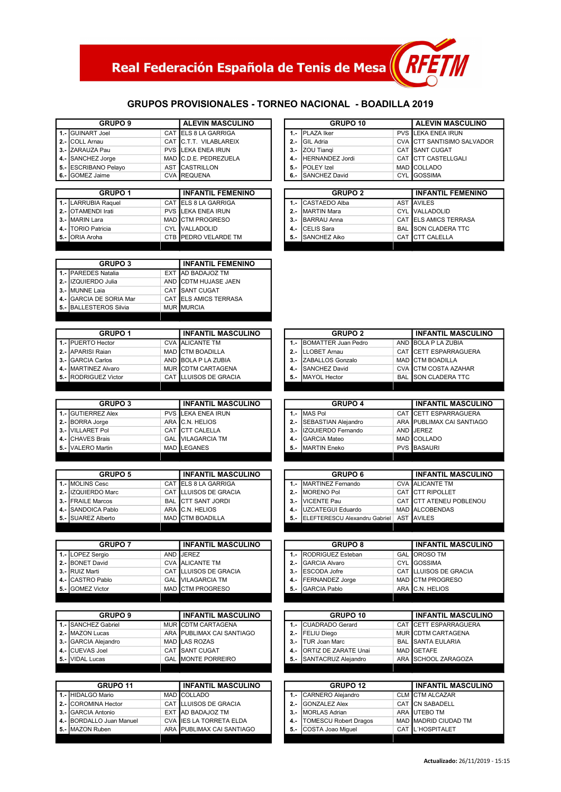## Real Federación Española de Tenis de Mesa (RFET)

#### GRUPOS PROVISIONALES - TORNEO NACIONAL - BOADILLA 2019

|        | <b>GRUPO 9</b>             |            | <b>ALEVIN MASCULINO</b>       |
|--------|----------------------------|------------|-------------------------------|
|        | 1.- GUINART Joel           | CAT I      | ELS 8 LA GARRIGA              |
| $2 -$  | <b>COLL Arnau</b>          |            | CAT C.T.T. VILABLAREIX        |
| $3 -$  | <b>IZARAUZA Pau</b>        |            | <b>PVS LEKA ENEA IRUN</b>     |
| $4 -$  | <b>SANCHEZ Jorge</b>       |            | MAD C.D.E. PEDREZUELA         |
|        | 5.- ESCRIBANO Pelayo       |            | <b>AST CASTRILLON</b>         |
|        | 6.- GOMEZ Jaime            |            | <b>CVA REQUENA</b>            |
|        |                            |            |                               |
|        | <b>GRUPO 1</b>             |            | <b>INFANTIL FEMENINO</b>      |
|        | 1.- LARRUBIA Raquel        | CAT        | <b>ELS 8 LA GARRIGA</b>       |
| $2. -$ | <b>OTAMENDI Irati</b>      |            | <b>PVS LEKA ENEA IRUN</b>     |
| $3 -$  | MARIN Lara                 |            | MAD CTM PROGRESO              |
| 4. -   | <b>ITORIO Patricia</b>     |            | <b>CYL IVALLADOLID</b>        |
| 5.-    | <b>ORIA</b> Aroha          |            | CTB PEDRO VELARDE TM          |
|        |                            |            |                               |
|        |                            |            |                               |
|        | <b>GRUPO 3</b>             |            | <b>INFANTIL FEMENINO</b>      |
| $1 -$  | <b>PAREDES Natalia</b>     | <b>EXT</b> | AD BADAJOZ TM                 |
| $2. -$ | IZQUIERDO Julia            | <b>AND</b> | <b>CDTM HUJASE JAEN</b>       |
| $3 -$  | MUNNE Laia                 | CAT I      | <b>SANT CUGAT</b>             |
| 4. –   | <b>GARCIA DE SORIA Mar</b> |            | <b>CAT LELS AMICS TERRASA</b> |
|        | 5.- BALLESTEROS Silvia     |            | <b>MUR MURCIA</b>             |

|        | <b>GRUPO 10</b>      | I ALEVIN MASCULINO         |
|--------|----------------------|----------------------------|
|        | 1.- IPLAZA Iker      | PVS LEKA ENEA IRUN         |
| $2. -$ | <b>GIL Adria</b>     | CVA CTT SANTISIMO SALVADOR |
| $3 -$  | ZOU Tiangi           | CAT SANT CUGAT             |
|        | 4.- HERNANDEZ Jordi  | CAT CTT CASTELLGALI        |
| $5. -$ | <b>POLEY Izel</b>    | MAD COLLADO                |
| 6.-    | <b>SANCHEZ David</b> | <b>CYL IGOSSIMA</b>        |

|       | <b>GRUPO 2</b>      |     | <b>INFANTIL FEMENINO</b>   |
|-------|---------------------|-----|----------------------------|
|       | 1.- CASTAEDO Alba   |     | <b>AST AVILES</b>          |
| $2 -$ | <b>MARTIN Mara</b>  |     | CYL VALLADOLID             |
| $3 -$ | <b>BARRAU Anna</b>  |     | CAT ELS AMICS TERRASA      |
|       | <b>CELIS Sara</b>   |     | <b>BAL SON CLADERA TTC</b> |
| 5.-   | <b>SANCHEZ Aiko</b> | CAT | <b>CTT CALELLA</b>         |
|       |                     |     |                            |

|        | <b>GRUPO 2</b>          |            | I INFANTIL MASCULINO  |
|--------|-------------------------|------------|-----------------------|
|        | 1.- BOMATTER Juan Pedro |            | AND BOLA P LA ZUBIA   |
| $2. -$ | <b>LLOBET Arnau</b>     |            | CAT CETT ESPARRAGUERA |
| $3 -$  | ZABALLOS Gonzalo        |            | MAD CTM BOADILLA      |
|        | <b>SANCHEZ David</b>    |            | CVA CTM COSTA AZAHAR  |
| 5.-    | MAYOL Hector            | <b>BAL</b> | SON CLADERA TTC       |
|        |                         |            |                       |

|     | <b>GRUPO 4</b>          | <b>INFANTIL MASCULINO</b> |
|-----|-------------------------|---------------------------|
|     | MAS Pol                 | CAT CETT ESPARRAGUERA     |
|     | 2.- SEBASTIAN Alejandro | ARA PUBLIMAX CAI SANTIAGO |
|     | 3.- IZQUIERDO Fernando  | AND JEREZ                 |
| 4.- | <b>GARCIA Mateo</b>     | MAD COLLADO               |
|     | 5.- MARTIN Eneko        | PVS BASAURI               |
|     |                         |                           |

|        | <b>GRUPO 6</b>                | I INFANTIL MASCULINO    |
|--------|-------------------------------|-------------------------|
|        | 1.-   MARTINEZ Fernando       | <b>CVA ALICANTE TM</b>  |
| $2. -$ | MORENO Pol                    | CAT CTT RIPOLLET        |
|        | 3.- VICENTE Pau               | CAT CTT ATENEU POBLENOU |
|        | 4.- UZCATEGUI Eduardo         | MAD ALCOBENDAS          |
| 5.-    | ELEFTERESCU Alexandru Gabriel | AST AVILES              |

|       | <b>GRUPO 8</b>        | I INFANTIL MASCULINO  |
|-------|-----------------------|-----------------------|
|       | 1.- RODRIGUEZ Esteban | <b>GAL OROSO TM</b>   |
| $2 -$ | <b>GARCIA Alvaro</b>  | CYL GOSSIMA           |
|       | 3.- ESCODA Jofre      | CAT LLUISOS DE GRACIA |
|       | 4.- FERNANDEZ Jorge   | MAD CTM PROGRESO      |
| 5. -  | <b>GARCIA Pablo</b>   | ARA C.N. HELIOS       |
|       |                       |                       |

|       | GRUPO 10                    | <b>INFANTIL MASCULINO</b> |                           |
|-------|-----------------------------|---------------------------|---------------------------|
|       | <b>CUADRADO Gerard</b>      |                           | CAT CETT ESPARRAGUERA     |
| $2 -$ | <b>FELIU Diego</b>          |                           | MUR CDTM CARTAGENA        |
| $3 -$ | <b>TUR Joan Marc</b>        |                           | <b>BAL ISANTA EULARIA</b> |
| 4.-   | <b>ORTIZ DE ZARATE Unai</b> |                           | MAD <b>I</b> GETAFE       |
| 5.-   | SANTACRUZ Alejandro         |                           | ARA SCHOOL ZARAGOZA       |
|       |                             |                           |                           |
|       |                             |                           |                           |

| <b>GRUPO 12</b>           | I INFANTIL MASCULINO |                      |
|---------------------------|----------------------|----------------------|
| 1.- CARNERO Alejandro     |                      | CLM CTM ALCAZAR      |
| 2.- GONZALEZ Alex         |                      | CAT CN SABADELL      |
| 3.- MORLAS Adrian         |                      | ARA UTEBO TM         |
| 4.- TOMESCU Robert Dragos |                      | MAD MADRID CIUDAD TM |
| 5.- COSTA Joao Miguel     |                      | CAT L'HOSPITALET     |
|                           |                      |                      |

| 1.- PUERTO Hector    |                           | <b>CVA ALICANTE TM</b>    |
|----------------------|---------------------------|---------------------------|
| 2.- APARISI Rajan    |                           | <b>MAD CTM BOADILLA</b>   |
| 3.- GARCIA Carlos    |                           | AND BOLA P LA ZUBIA       |
| 4.- MARTINEZ Alvaro  |                           | MUR CDTM CARTAGENA        |
| 5.- RODRIGUEZ Victor |                           | CAT LLUISOS DE GRACIA     |
|                      |                           |                           |
|                      |                           |                           |
| <b>GRUPO 3</b>       | <b>INFANTIL MASCULINO</b> |                           |
| 1.- GUTIERREZ Alex   |                           | <b>PVS LEKA ENEA IRUN</b> |
| $\sqrt{2}$           |                           | 10111111100               |

GRUPO 1

**INFANTIL MASCULINO** 

| 1.- IGU HERREZ AIEX | <b>PVS ILEKA ENEA IRUN</b> |
|---------------------|----------------------------|
| 2.- BORRA Jorge     | ARA C.N. HELIOS            |
| 3.- VILLARET Pol    | CAT CTT CALELLA            |
| 4.- CHAVES Brais    | <b>GAL VILAGARCIA TM</b>   |
| 5.- IVALERO Martin  | <b>MAD LEGANES</b>         |
|                     |                            |

| <b>GRUPO 5</b>     | <b>INFANTIL MASCULINO</b> |                           |
|--------------------|---------------------------|---------------------------|
| 1.- MOLINS Cesc    |                           | CAT ELS 8 LA GARRIGA      |
| 2.- IZQUIERDO Marc |                           | CAT LLUISOS DE GRACIA     |
| 3.- FRAILE Marcos  |                           | <b>BAL CTT SANT JORDI</b> |
| 4.- SANDOICA Pablo |                           | ARA C.N. HELIOS           |
| 5.- SUAREZ Alberto |                           | MAD CTM BOADILLA          |

| <b>GRUPO 7</b>   | <b>INFANTIL MASCULINO</b> |                          |
|------------------|---------------------------|--------------------------|
| 1.- LOPEZ Sergio |                           | AND JEREZ                |
| 2.- BONET David  |                           | <b>CVA</b> ALICANTE TM   |
| 3.- RUIZ Marti   |                           | CAT LLUISOS DE GRACIA    |
| 4.- CASTRO Pablo |                           | <b>GAL VILAGARCIA TM</b> |
| 5.- GOMEZ Victor |                           | MAD CTM PROGRESO         |

| <b>GRUPO 9</b>       | <b>INFANTIL MASCULINO</b> |                           |
|----------------------|---------------------------|---------------------------|
| 1.- SANCHEZ Gabriel  |                           | MUR CDTM CARTAGENA        |
| 2.- IMAZON Lucas     |                           | ARA PUBLIMAX CAI SANTIAGO |
| 3.- GARCIA Alejandro |                           | MAD LAS ROZAS             |
| 4.- CUEVAS Joel      |                           | <b>CAT ISANT CUGAT</b>    |
| 5.- VIDAL Lucas      |                           | <b>GAL MONTE PORREIRO</b> |
|                      |                           |                           |

| <b>GRUPO 11</b>          | <b>INFANTIL MASCULINO</b> |                           |
|--------------------------|---------------------------|---------------------------|
| 1.- HIDALGO Mario        |                           | MAD COLLADO               |
| 2.- COROMINA Hector      |                           | CAT LLUISOS DE GRACIA     |
| 3.- GARCIA Antonio       |                           | EXT AD BADAJOZ TM         |
| 4.- BORDALLO Juan Manuel |                           | CVA ILES LA TORRETA ELDA  |
| 5.- MAZON Ruben          |                           | ARA PUBLIMAX CAI SANTIAGO |
|                          |                           |                           |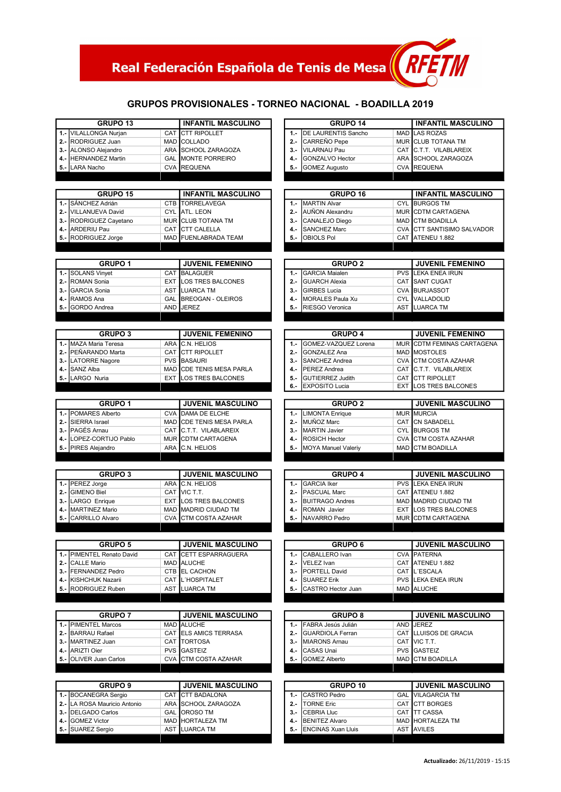### Real Federación Española de Tenis de Mesa

#### GRUPOS PROVISIONALES - TORNEO NACIONAL - BOADILLA 2019

RFE

 $\boldsymbol{\mathcal{U}}$ 

| $1 -$ | <b>GRUPO 13</b>                             |            | <b>INFANTIL MASCULINO</b>                         | GRUPO 14                                                          |            | <b>INFANTIL MASCULINO</b>                      |
|-------|---------------------------------------------|------------|---------------------------------------------------|-------------------------------------------------------------------|------------|------------------------------------------------|
|       | <b>VILALLONGA Nurjan</b>                    | CAT        | <b>CTT RIPOLLET</b>                               | <b>DE LAURENTIS Sancho</b><br>$1. -$                              | <b>MAD</b> | <b>LAS ROZAS</b>                               |
|       | 2.- RODRIGUEZ Juan                          |            | MAD COLLADO                                       | CARREÑO Pepe<br>$2 -$                                             |            | MUR CLUB TOTANA TM                             |
|       | 3.- ALONSO Alejandro                        |            | ARA SCHOOL ZARAGOZA                               | VILARNAU Pau<br>$3 -$                                             |            | CAT C.T.T. VILABLAREIX                         |
| 4.-   | <b>HERNANDEZ Martin</b>                     |            | <b>GAL MONTE PORREIRO</b>                         | <b>GONZALVO Hector</b><br>4.-                                     |            | ARA SCHOOL ZARAGOZA                            |
|       | 5.- LARA Nacho                              |            | CVA REQUENA                                       | <b>GOMEZ Augusto</b><br>$5. -$                                    |            | CVA REQUENA                                    |
|       |                                             |            |                                                   |                                                                   |            |                                                |
|       |                                             |            |                                                   |                                                                   |            |                                                |
|       | <b>GRUPO 15</b>                             |            | <b>INFANTIL MASCULINO</b>                         | GRUPO 16                                                          |            | <b>INFANTIL MASCULINO</b>                      |
| $1 -$ | SÁNCHEZ Adrián                              |            | CTB TORRELAVEGA                                   | <b>MARTIN Alvar</b><br>$1. -$                                     |            | <b>CYL BURGOS TM</b>                           |
| 2.-   | <b>VILLANUEVA David</b>                     |            | CYL ATL. LEON                                     | AUÑON Alexandru<br>$2 -$                                          |            | MUR CDTM CARTAGENA                             |
|       | 3.- RODRIGUEZ Cayetano                      |            | MUR CLUB TOTANA TM                                | CANALEJO Diego<br>$3 -$                                           |            | MAD CTM BOADILLA                               |
|       |                                             |            | CAT CTT CALELLA                                   |                                                                   |            |                                                |
|       | 4.- ARDERIU Pau                             |            |                                                   | <b>SANCHEZ Marc</b><br>4.-                                        |            | CVA CTT SANTISIMO SALVADOR                     |
|       | 5.- RODRIGUEZ Jorge                         |            | MAD FUENLABRADA TEAM                              | OBIOLS Pol<br>$5. -$                                              |            | CAT ATENEU 1.882                               |
|       |                                             |            |                                                   |                                                                   |            |                                                |
|       | <b>GRUPO 1</b>                              |            | <b>JUVENIL FEMENINO</b>                           | <b>GRUPO 2</b>                                                    |            | <b>JUVENIL FEMENINO</b>                        |
|       | 1.- SOLANS Vinyet                           | CAT        | <b>BALAGUER</b>                                   | <b>GARCIA Maialen</b><br>$1. -$                                   | <b>PVS</b> | LEKA ENEA IRUN                                 |
| $2 -$ | ROMAN Sonia                                 | <b>EXT</b> | <b>LOS TRES BALCONES</b>                          | <b>GUARCH Alexia</b><br>$2 -$                                     |            | CAT SANT CUGAT                                 |
| $3 -$ | <b>GARCIA Sonia</b>                         |            | AST LUARCA TM                                     | <b>GIRBES Lucia</b><br>$3 -$                                      |            | CVA BURJASSOT                                  |
| 4.-   | RAMOS Ana                                   |            | GAL BREOGAN - OLEIROS                             | <b>MORALES Paula Xu</b><br>4.-                                    |            | CYL VALLADOLID                                 |
|       |                                             |            |                                                   |                                                                   |            |                                                |
| 5.-   | GORDO Andrea                                |            | AND JEREZ                                         | RIESGO Veronica<br>$5. -$                                         |            | AST LUARCA TM                                  |
|       |                                             |            |                                                   |                                                                   |            |                                                |
|       | <b>GRUPO 3</b>                              |            | <b>JUVENIL FEMENINO</b>                           | <b>GRUPO 4</b>                                                    |            | <b>JUVENIL FEMENINO</b>                        |
|       | 1.- MAZA Maria Teresa                       |            | ARA C.N. HELIOS                                   | GOMEZ-VAZQUEZ Lorena<br>$1. -$                                    |            | MUR CDTM FEMINAS CARTAGENA                     |
| $2 -$ | PEÑARANDO Marta                             |            | CAT CTT RIPOLLET                                  | $2 -$<br><b>GONZALEZ Ana</b>                                      |            | MAD MOSTOLES                                   |
|       | 3.- LATORRE Nagore                          |            | <b>PVS BASAURI</b>                                | $3 -$<br>SANCHEZ Andrea                                           |            | CVA CTM COSTA AZAHAR                           |
|       | SANZ Alba                                   |            | MAD CDE TENIS MESA PARLA                          | PEREZ Andrea                                                      |            | CAT C.T.T. VILABLAREIX                         |
| 4.-   |                                             |            |                                                   | 4.-                                                               |            |                                                |
| 5.-   | LARGO Nuria                                 | <b>EXT</b> | LOS TRES BALCONES                                 | $5. -$<br><b>GUTIERREZ Judith</b>                                 |            | CAT CTT RIPOLLET                               |
|       |                                             |            |                                                   | <b>EXPOSITO Lucia</b><br>$6 -$                                    | <b>EXT</b> | LOS TRES BALCONES                              |
|       | <b>GRUPO 1</b>                              |            | <b>JUVENIL MASCULINO</b>                          | <b>GRUPO 2</b>                                                    |            | <b>JUVENIL MASCULINO</b>                       |
|       |                                             |            |                                                   |                                                                   |            |                                                |
|       | 1.- POMARES Alberto                         |            | CVA DAMA DE ELCHE                                 | <b>LIMONTA Enrique</b><br>$1. -$                                  |            | <b>MUR MURCIA</b>                              |
| 2.-   | SIERRA Israel                               |            | MAD CDE TENIS MESA PARLA                          | MUÑOZ Marc<br>$2 -$                                               |            | CAT CN SABADELL                                |
|       | 3.- PAGÉS Arnau                             | CAT        | C.T.T. VILABLAREIX                                | <b>MARTIN Javier</b><br>$3 -$                                     |            | <b>CYL BURGOS TM</b>                           |
|       | 4.- LOPEZ-CORTIJO Pablo                     |            | MUR CDTM CARTAGENA                                | <b>ROSICH Hector</b><br>4.-                                       |            | CVA CTM COSTA AZAHAR                           |
|       | 5.- PIRES Alejandro                         |            | ARA C.N. HELIOS                                   | MOYA Manuel Valeriy<br>$5. -$                                     | MAD        | <b>CTM BOADILLA</b>                            |
|       |                                             |            |                                                   |                                                                   |            |                                                |
|       |                                             |            |                                                   |                                                                   |            |                                                |
|       | <b>GRUPO 3</b><br>1.- PEREZ Jorge           |            | <b>JUVENIL MASCULINO</b><br>ARA C.N. HELIOS       | <b>GRUPO 4</b><br><b>GARCIA Iker</b><br>$1. -$                    |            | <b>JUVENIL MASCULINO</b><br>PVS LEKA ENEA IRUN |
|       |                                             |            |                                                   |                                                                   |            |                                                |
|       |                                             |            | CAT VIC T.T.                                      | $2. -$<br>PASCUAL Marc                                            | CAT        | ATENEU 1.882                                   |
|       | <b>GIMENO Biel</b>                          |            |                                                   | <b>BUITRAGO Andres</b><br>$3 -$                                   |            |                                                |
| $2 -$ | 3.- LARGO Enrique                           |            | <b>EXT LOS TRES BALCONES</b>                      |                                                                   |            | MAD MADRID CIUDAD TM                           |
| 4.-   | MARTINEZ Mario                              |            | MAD MADRID CIUDAD TM                              | ROMAN Javier<br>4.-                                               | <b>EXT</b> | LOS TRES BALCONES                              |
|       | 5.- CARRILLO Alvaro                         |            | CVA CTM COSTA AZAHAR                              | NAVARRO Pedro<br>5. -                                             |            | MUR CDTM CARTAGENA                             |
|       |                                             |            |                                                   |                                                                   |            |                                                |
|       |                                             |            |                                                   |                                                                   |            |                                                |
|       | <b>GRUPO 5</b><br>1.- PIMENTEL Renato David |            | <b>JUVENIL MASCULINO</b><br>CAT CETT ESPARRAGUERA | <b>GRUPO 6</b><br>CABALLERO Ivan<br>$1. -$                        |            | <b>JUVENIL MASCULINO</b><br>CVA PATERNA        |
|       |                                             |            |                                                   |                                                                   |            |                                                |
|       | 2.- CALLE Mario                             |            | MAD ALUCHE                                        | VELEZ Ivan<br>2.-                                                 |            | CAT ATENEU 1.882                               |
|       | 3.-   FERNANDEZ Pedro                       |            | CTB EL CACHON                                     | PORTELL David<br>$3 -$                                            |            | CAT L'ESCALA                                   |
|       | 4.- KISHCHUK Nazarii                        |            | CAT L'HOSPITALET                                  | <b>SUAREZ Erik</b><br>4.-                                         |            | PVS LEKA ENEA IRUN                             |
|       | 5.- RODRIGUEZ Ruben                         |            | AST LUARCA TM                                     | 5.- CASTRO Hector Juan                                            |            | MAD ALUCHE                                     |
|       |                                             |            |                                                   |                                                                   |            |                                                |
|       | <b>GRUPO 7</b>                              |            | <b>JUVENIL MASCULINO</b>                          | <b>GRUPO 8</b>                                                    |            | <b>JUVENIL MASCULINO</b>                       |
|       |                                             |            | MAD ALUCHE                                        |                                                                   |            |                                                |
|       | 1.- PIMENTEL Marcos                         |            |                                                   | FABRA Jesús Julián<br>$1 -$                                       |            | AND JEREZ                                      |
|       | 2.- BARRAU Rafael                           |            | CAT ELS AMICS TERRASA                             | <b>GUARDIOLA Ferran</b><br>$2 -$                                  |            | CAT LLUISOS DE GRACIA                          |
|       | 3.-   MARTINEZ Juan                         |            | CAT TORTOSA                                       | 3.- MIARONS Arnau                                                 |            | CAT VIC T.T.                                   |
|       | 4.- ARIZTI Oier                             |            | <b>PVS GASTEIZ</b>                                | CASAS Unai<br>4.-                                                 |            | <b>PVS GASTEIZ</b>                             |
|       | 5.- OLIVER Juan Carlos                      |            | CVA CTM COSTA AZAHAR                              | <b>GOMEZ Alberto</b><br>5. -                                      |            | MAD CTM BOADILLA                               |
|       |                                             |            |                                                   |                                                                   |            |                                                |
|       |                                             |            |                                                   |                                                                   |            |                                                |
|       | <b>GRUPO 9</b>                              |            | <b>JUVENIL MASCULINO</b>                          | GRUPO 10                                                          |            | <b>JUVENIL MASCULINO</b>                       |
|       | 1.- BOCANEGRA Sergio                        | CAT        | <b>CTT BADALONA</b>                               | CASTRO Pedro<br>$1 -$                                             |            | <b>GAL VILAGARCIA TM</b>                       |
|       | 2.- LA ROSA Mauricio Antonio                |            | ARA SCHOOL ZARAGOZA                               | <b>TORNE Eric</b><br>$2 -$                                        |            | CAT CTT BORGES                                 |
|       | 3.- DELGADO Carlos                          |            | GAL OROSO TM                                      | <b>CEBRIA Lluc</b><br>$3 -$                                       |            | CAT TT CASSA                                   |
|       | 4.- GOMEZ Victor<br>5.- SUAREZ Sergio       |            | MAD HORTALEZA TM<br>AST LUARCA TM                 | <b>BENITEZ Alvaro</b><br>4.-<br><b>ENCINAS Xuan Lluis</b><br>5. - |            | MAD HORTALEZA TM<br>AST AVILES                 |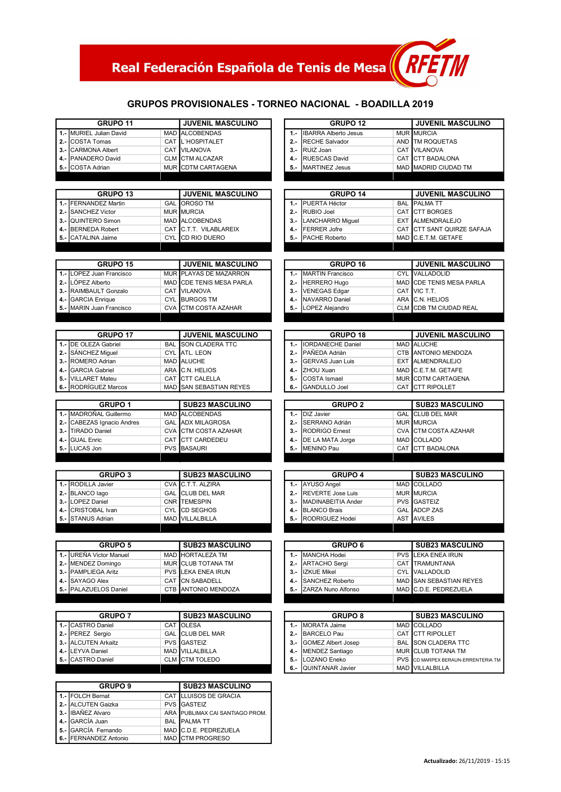### Real Federación Española de Tenis de Mesa $\langle$

#### GRUPOS PROVISIONALES - TORNEO NACIONAL - BOADILLA 2019

RFET

M

|            | GRUPO 11                                     |            | <b>JUVENIL MASCULINO</b>                  |        | <b>GRUPO 12</b>             |            | <b>JUVENIL MASCULINO</b>           |
|------------|----------------------------------------------|------------|-------------------------------------------|--------|-----------------------------|------------|------------------------------------|
|            | 1.- MURIEL Julian David                      |            | MAD ALCOBENDAS                            | $1. -$ | <b>IBARRA Alberto Jesus</b> |            | MUR MURCIA                         |
| $2 -$      | COSTA Tomas                                  | CAT        | L'HOSPITALET                              | $2 -$  | <b>RECHE Salvador</b>       |            | AND TM ROQUETAS                    |
| 3.-        | <b>CARMONA Albert</b>                        |            | CAT VILANOVA                              | $3 -$  | RUIZ Joan                   |            | <b>CAT VILANOVA</b>                |
| 4.-        | PANADERO David                               | <b>CLM</b> | <b>CTM ALCAZAR</b>                        | $4. -$ | <b>RUESCAS David</b>        |            | CAT CTT BADALONA                   |
|            | 5.- COSTA Adrian                             |            | MUR CDTM CARTAGENA                        | 5. -   | MARTINEZ Jesus              |            | MAD MADRID CIUDAD TM               |
|            |                                              |            |                                           |        |                             |            |                                    |
|            | <b>GRUPO 13</b>                              |            | <b>JUVENIL MASCULINO</b>                  |        | GRUPO 14                    |            | <b>JUVENIL MASCULINO</b>           |
|            | 1.- FERNANDEZ Martin                         | GAL        | OROSO TM                                  | $1. -$ | PUERTA Héctor               | <b>BAL</b> | <b>PALMATT</b>                     |
|            |                                              |            | <b>MUR MURCIA</b>                         | $2 -$  |                             |            |                                    |
| 2.-        | <b>SANCHEZ Victor</b>                        |            | MAD ALCOBENDAS                            | $3 -$  | RUBIO Joel                  |            | CAT CTT BORGES                     |
| $3. -$     | <b>QUINTERO Simon</b>                        |            |                                           |        | <b>LANCHARRO Miguel</b>     |            | EXT ALMENDRALEJO                   |
|            | 4.- BERNEDA Robert                           |            | CAT C.T.T. VILABLAREIX                    | 4.-    | FERRER Jofre                |            | CAT CTT SANT QUIRZE SAFAJA         |
| 5.-        | CATALINA Jaime                               | <b>CYL</b> | CD RIO DUERO                              | $5. -$ | PACHE Roberto               |            | MAD C.E.T.M. GETAFE                |
|            |                                              |            |                                           |        |                             |            |                                    |
|            | GRUPO 15                                     |            | <b>JUVENIL MASCULINO</b>                  |        | GRUPO 16                    |            | <b>JUVENIL MASCULINO</b>           |
|            | 1.- LOPEZ Juan Francisco                     |            | MUR PLAYAS DE MAZARRON                    | $1. -$ | <b>MARTIN Francisco</b>     | <b>CYL</b> | VALLADOLID                         |
|            | 2.- LÓPEZ Alberto                            |            | MAD CDE TENIS MESA PARLA                  | $2 -$  | <b>HERRERO Hugo</b>         |            | MAD CDE TENIS MESA PARLA           |
|            | 3.- RAIMBAULT Gonzalo                        |            | CAT VILANOVA                              | $3 -$  | <b>VENEGAS Edgar</b>        |            | CAT VIC T.T.                       |
| 4.-        | <b>GARCIA</b> Enrique                        |            | CYL BURGOS TM                             | $4. -$ | NAVARRO Daniel              |            | ARA C.N. HELIOS                    |
|            | 5.- MARIN Juan Francisco                     |            | CVA CTM COSTA AZAHAR                      | 5.-    | LOPEZ Alejandro             |            | CLM CDB TM CIUDAD REAL             |
|            |                                              |            |                                           |        |                             |            |                                    |
|            | <b>GRUPO 17</b>                              |            | <b>JUVENIL MASCULINO</b>                  |        | GRUPO <sub>18</sub>         |            | <b>JUVENIL MASCULINO</b>           |
|            | 1.- DE OLEZA Gabriel                         |            | <b>BAL SON CLADERA TTC</b>                | $1. -$ | <b>IORDANECHE Daniel</b>    |            | MAD ALUCHE                         |
| $2 -$      | SÁNCHEZ Miquel                               |            | CYL ATL. LEON                             | $2 -$  | PAÑEDA Adrián               |            | CTB ANTONIO MENDOZA                |
| $3 -$      | ROMERO Adrian                                |            | MAD ALUCHE                                | $3 -$  | <b>GERVAS Juan Luis</b>     | <b>EXT</b> | ALMENDRALEJO                       |
| 4.-        | <b>GARCIA Gabriel</b>                        |            | ARA C.N. HELIOS                           | 4.-    | ZHOU Xuan                   |            | MAD C.E.T.M. GETAFE                |
| 5.-        | <b>VILLARET Mateu</b>                        | CAT        | <b>CTT CALELLA</b>                        | 5.-    | <b>COSTA Ismael</b>         |            | MUR CDTM CARTAGENA                 |
| 6.-        | RODRÍGUEZ Marcos                             | <b>MAD</b> | <b>SAN SEBASTIAN REYES</b>                | 6.-    | <b>GANDULLO Joel</b>        | CAT        | <b>CTT RIPOLLET</b>                |
|            |                                              |            |                                           |        |                             |            |                                    |
|            | <b>GRUPO 1</b>                               |            | <b>SUB23 MASCULINO</b>                    |        | <b>GRUPO 2</b>              |            | <b>SUB23 MASCULINO</b>             |
| $1 -$      | MADROÑAL Guillermo                           |            | MAD ALCOBENDAS                            | $1. -$ | DIZ Javier                  | <b>GAL</b> | <b>CLUB DEL MAR</b>                |
|            | 2.- CABEZAS Ignacio Andres                   | <b>GAL</b> | <b>ADX MILAGROSA</b>                      | $2 -$  | SERRANO Adrián              |            | <b>MUR MURCIA</b>                  |
|            | 3.- TIRADO Daniel                            | <b>CVA</b> | <b>CTM COSTA AZAHAR</b>                   | $3 -$  | RODRIGO Ernest              |            | CVA CTM COSTA AZAHAR               |
| 4.-        | <b>GUAL Enric</b>                            | CAT        | <b>CTT CARDEDEU</b>                       | 4.-    | DE LA MATA Jorge            |            | MAD COLLADO                        |
|            | 5.- LUCAS Jon                                |            | <b>PVS BASAURI</b>                        | 5. -   | <b>MENINO Pau</b>           |            | CAT CTT BADALONA                   |
|            |                                              |            |                                           |        |                             |            |                                    |
|            | <b>GRUPO 3</b>                               |            | <b>SUB23 MASCULINO</b>                    |        | <b>GRUPO 4</b>              |            | <b>SUB23 MASCULINO</b>             |
|            | 1.- RODILLA Javier                           |            | CVA C.T.T. ALZIRA                         | $1. -$ | AYUSO Angel                 |            | MAD COLLADO                        |
|            | 2.- BLANCO lago                              |            | <b>GAL CLUB DEL MAR</b>                   | $2 -$  | <b>REVERTE Jose Luis</b>    |            | <b>MUR MURCIA</b>                  |
|            | 3.- LOPEZ Daniel                             |            | CNR TEMESPIN                              | $3 -$  | MADINABEITIA Ander          |            | <b>PVS</b> GASTEIZ                 |
| 4.-        | CRISTOBAL Ivan                               | <b>CYL</b> | <b>CD SEGHOS</b>                          | 4.-    | <b>BLANCO Brais</b>         |            | GAL ADCP ZAS                       |
|            | 5.- STANUS Adrian                            |            | MAD VILLALBILLA                           | $5. -$ | RODRIGUEZ Hodei             |            | AST AVILES                         |
|            |                                              |            |                                           |        |                             |            |                                    |
|            |                                              |            |                                           |        |                             |            |                                    |
|            |                                              |            |                                           |        |                             |            |                                    |
|            | <b>GRUPO 5</b>                               |            | <b>SUB23 MASCULINO</b>                    |        | <b>GRUPO 6</b>              |            | <b>SUB23 MASCULINO</b>             |
|            | 1.- UREÑA Victor Manuel                      | <b>MAD</b> | <b>HORTALEZA TM</b>                       | $1 -$  | MANCHA Hodei                | <b>PVS</b> | LEKA ENEA IRUN                     |
|            | 2.- MENDEZ Domingo                           |            | MUR CLUB TOTANA TM                        | $2 -$  | <b>ARTACHO Sergi</b>        |            | CAT TRAMUNTANA                     |
|            | 3.- PAMPLIEGA Aritz                          |            | <b>PVS LEKA ENEA IRUN</b>                 | $3 -$  | <b>IZKUE Mikel</b>          |            | <b>CYL VALLADOLID</b>              |
|            | 4.- SAYAGO Alex                              |            | CAT CN SABADELL                           | 4.-    | SANCHEZ Roberto             |            | MAD SAN SEBASTIAN REYES            |
|            | 5.- PALAZUELOS Daniel                        |            | CTB ANTONIO MENDOZA                       | 5. -   | ZARZA Nuno Alfonso          |            | MAD C.D.E. PEDREZUELA              |
|            |                                              |            |                                           |        |                             |            |                                    |
|            | <b>GRUPO 7</b>                               |            | <b>SUB23 MASCULINO</b>                    |        | <b>GRUPO 8</b>              |            | <b>SUB23 MASCULINO</b>             |
|            | 1.- CASTRO Daniel                            |            | CAT OLESA                                 | $1. -$ | <b>MORATA Jaime</b>         |            | MAD COLLADO                        |
|            | PEREZ Sergio                                 |            | GAL CLUB DEL MAR                          | $2 -$  | <b>BARCELO Pau</b>          |            | CAT CTT RIPOLLET                   |
|            | 3.- ALCUTEN Arkaitz                          |            | <b>PVS GASTEIZ</b>                        | $3 -$  | <b>GOMEZ Albert Josep</b>   | BAL        | <b>SON CLADERA TTC</b>             |
|            | LEYVA Daniel                                 |            | MAD VILLALBILLA                           | 4.-    | MENDEZ Santiago             |            | MUR CLUB TOTANA TM                 |
|            | 5.- CASTRO Daniel                            |            | CLM CTM TOLEDO                            | 5.-    | LOZANO Eneko                |            | PVS CD MARPEX BERAUN-ERRENTERIA TM |
|            |                                              |            |                                           | 6.-    | <b>QUINTANAR Javier</b>     |            | MAD VILLALBILLA                    |
|            | <b>GRUPO 9</b>                               |            | <b>SUB23 MASCULINO</b>                    |        |                             |            |                                    |
|            |                                              |            |                                           |        |                             |            |                                    |
|            | 1.- FOLCH Bernat                             | CAT        | LLUISOS DE GRACIA                         |        |                             |            |                                    |
|            | 2.- ALCUTEN Gaizka                           |            | <b>PVS GASTEIZ</b>                        |        |                             |            |                                    |
|            | 3.- IBAÑEZ Alvaro                            |            | ARA PUBLIMAX CAI SANTIAGO PROM.           |        |                             |            |                                    |
|            | 4.- GARCÍA Juan                              |            | <b>BAL PALMATT</b>                        |        |                             |            |                                    |
| 2.-<br>4.- | 5.- GARCÍA Fernando<br>6.- FERNANDEZ Antonio |            | MAD C.D.E. PEDREZUELA<br>MAD CTM PROGRESO |        |                             |            |                                    |